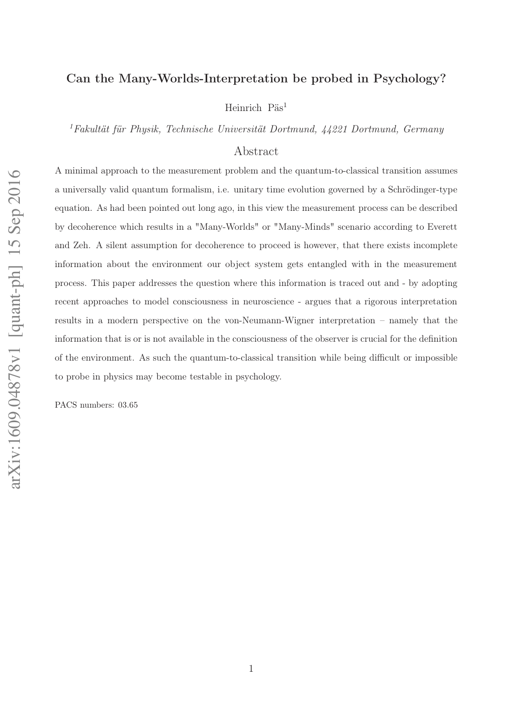## Can the Many-Worlds-Interpretation be probed in Psychology?

Heinrich Päs<sup>1</sup>

<sup>1</sup>Fakultät für Physik, Technische Universität Dortmund, 44221 Dortmund, Germany

## Abstract

A minimal approach to the measurement problem and the quantum-to-classical transition assumes a universally valid quantum formalism, i.e. unitary time evolution governed by a Schrödinger-type equation. As had been pointed out long ago, in this view the measurement process can be described by decoherence which results in a "Many-Worlds" or "Many-Minds" scenario according to Everett and Zeh. A silent assumption for decoherence to proceed is however, that there exists incomplete information about the environment our object system gets entangled with in the measurement process. This paper addresses the question where this information is traced out and - by adopting recent approaches to model consciousness in neuroscience - argues that a rigorous interpretation results in a modern perspective on the von-Neumann-Wigner interpretation – namely that the information that is or is not available in the consciousness of the observer is crucial for the definition of the environment. As such the quantum-to-classical transition while being difficult or impossible to probe in physics may become testable in psychology.

PACS numbers: 03.65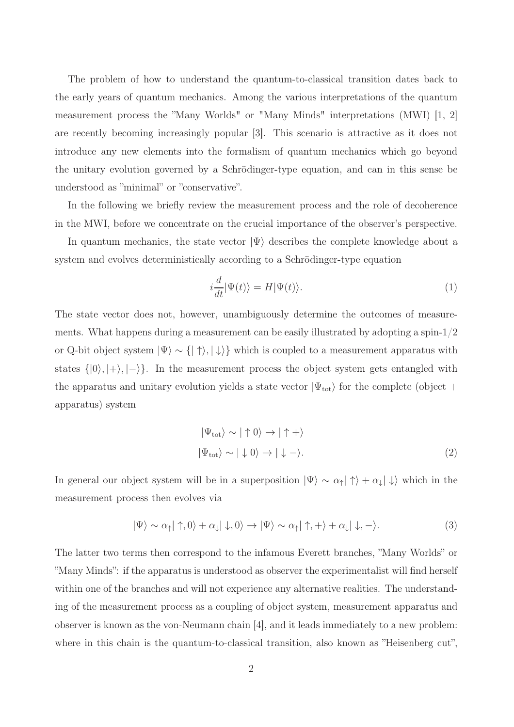The problem of how to understand the quantum-to-classical transition dates back to the early years of quantum mechanics. Among the various interpretations of the quantum measurement process the "Many Worlds" or "Many Minds" interpretations (MWI) [1, 2] are recently becoming increasingly popular [3]. This scenario is attractive as it does not introduce any new elements into the formalism of quantum mechanics which go beyond the unitary evolution governed by a Schrödinger-type equation, and can in this sense be understood as "minimal" or "conservative".

In the following we briefly review the measurement process and the role of decoherence in the MWI, before we concentrate on the crucial importance of the observer's perspective.

In quantum mechanics, the state vector  $|\Psi\rangle$  describes the complete knowledge about a system and evolves deterministically according to a Schrödinger-type equation

$$
i\frac{d}{dt}|\Psi(t)\rangle = H|\Psi(t)\rangle.
$$
 (1)

The state vector does not, however, unambiguously determine the outcomes of measurements. What happens during a measurement can be easily illustrated by adopting a spin-1/2 or Q-bit object system  $|\Psi\rangle \sim \{|\uparrow\rangle, |\downarrow\rangle\}$  which is coupled to a measurement apparatus with states  $\{|0\rangle, |+\rangle, |-\rangle\}$ . In the measurement process the object system gets entangled with the apparatus and unitary evolution yields a state vector  $|\Psi_{\text{tot}}\rangle$  for the complete (object + apparatus) system

$$
|\Psi_{\text{tot}}\rangle \sim |\uparrow 0\rangle \rightarrow |\uparrow +\rangle
$$
  

$$
|\Psi_{\text{tot}}\rangle \sim |\downarrow 0\rangle \rightarrow |\downarrow -\rangle.
$$
 (2)

In general our object system will be in a superposition  $|\Psi\rangle \sim \alpha_{\uparrow} |\uparrow\rangle + \alpha_{\downarrow} |\downarrow\rangle$  which in the measurement process then evolves via

$$
|\Psi\rangle \sim \alpha_{\uparrow} |\uparrow, 0\rangle + \alpha_{\downarrow} |\downarrow, 0\rangle \to |\Psi\rangle \sim \alpha_{\uparrow} |\uparrow, +\rangle + \alpha_{\downarrow} |\downarrow, -\rangle. \tag{3}
$$

The latter two terms then correspond to the infamous Everett branches, "Many Worlds" or "Many Minds": if the apparatus is understood as observer the experimentalist will find herself within one of the branches and will not experience any alternative realities. The understanding of the measurement process as a coupling of object system, measurement apparatus and observer is known as the von-Neumann chain [4], and it leads immediately to a new problem: where in this chain is the quantum-to-classical transition, also known as "Heisenberg cut",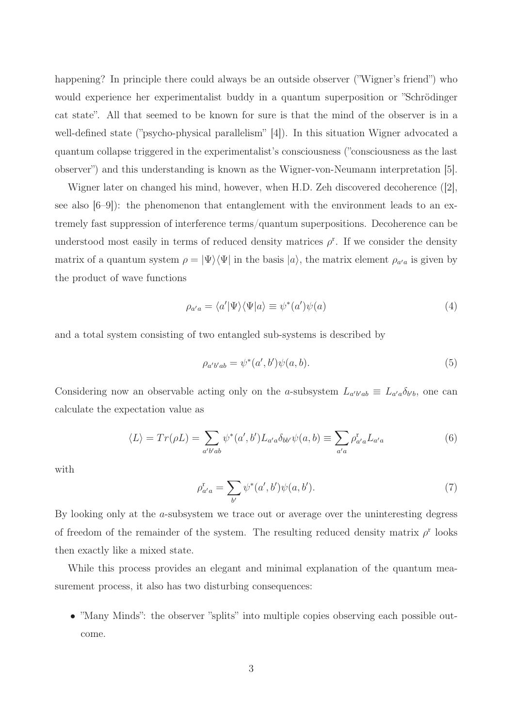happening? In principle there could always be an outside observer ("Wigner's friend") who would experience her experimentalist buddy in a quantum superposition or "Schrödinger cat state". All that seemed to be known for sure is that the mind of the observer is in a well-defined state ("psycho-physical parallelism" [4]). In this situation Wigner advocated a quantum collapse triggered in the experimentalist's consciousness ("consciousness as the last observer") and this understanding is known as the Wigner-von-Neumann interpretation [5].

Wigner later on changed his mind, however, when H.D. Zeh discovered decoherence ([2], see also  $(6-9)$ : the phenomenon that entanglement with the environment leads to an extremely fast suppression of interference terms/quantum superpositions. Decoherence can be understood most easily in terms of reduced density matrices  $\rho^{\rm r}$ . If we consider the density matrix of a quantum system  $\rho = |\Psi\rangle\langle\Psi|$  in the basis  $|a\rangle$ , the matrix element  $\rho_{a'a}$  is given by the product of wave functions

$$
\rho_{a'a} = \langle a' | \Psi \rangle \langle \Psi | a \rangle \equiv \psi^*(a') \psi(a) \tag{4}
$$

and a total system consisting of two entangled sub-systems is described by

$$
\rho_{a'b'ab} = \psi^*(a',b')\psi(a,b). \tag{5}
$$

Considering now an observable acting only on the a-subsystem  $L_{a'b'ab} \equiv L_{a'a}\delta_{b'b}$ , one can calculate the expectation value as

$$
\langle L \rangle = Tr(\rho L) = \sum_{a'b'ab} \psi^*(a',b') L_{a'a} \delta_{bb'} \psi(a,b) \equiv \sum_{a'a} \rho_{a'a}^r L_{a'a}
$$
(6)

with

$$
\rho_{a'a}^{\mathbf{r}} = \sum_{b'} \psi^*(a', b') \psi(a, b'). \tag{7}
$$

By looking only at the a-subsystem we trace out or average over the uninteresting degress of freedom of the remainder of the system. The resulting reduced density matrix  $\rho^r$  looks then exactly like a mixed state.

While this process provides an elegant and minimal explanation of the quantum measurement process, it also has two disturbing consequences:

• "Many Minds": the observer "splits" into multiple copies observing each possible outcome.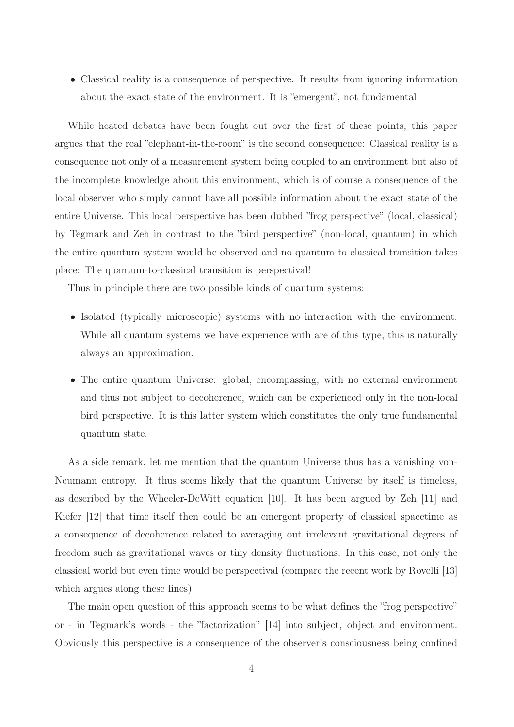• Classical reality is a consequence of perspective. It results from ignoring information about the exact state of the environment. It is "emergent", not fundamental.

While heated debates have been fought out over the first of these points, this paper argues that the real "elephant-in-the-room" is the second consequence: Classical reality is a consequence not only of a measurement system being coupled to an environment but also of the incomplete knowledge about this environment, which is of course a consequence of the local observer who simply cannot have all possible information about the exact state of the entire Universe. This local perspective has been dubbed "frog perspective" (local, classical) by Tegmark and Zeh in contrast to the "bird perspective" (non-local, quantum) in which the entire quantum system would be observed and no quantum-to-classical transition takes place: The quantum-to-classical transition is perspectival!

Thus in principle there are two possible kinds of quantum systems:

- Isolated (typically microscopic) systems with no interaction with the environment. While all quantum systems we have experience with are of this type, this is naturally always an approximation.
- The entire quantum Universe: global, encompassing, with no external environment and thus not subject to decoherence, which can be experienced only in the non-local bird perspective. It is this latter system which constitutes the only true fundamental quantum state.

As a side remark, let me mention that the quantum Universe thus has a vanishing von-Neumann entropy. It thus seems likely that the quantum Universe by itself is timeless, as described by the Wheeler-DeWitt equation [10]. It has been argued by Zeh [11] and Kiefer [12] that time itself then could be an emergent property of classical spacetime as a consequence of decoherence related to averaging out irrelevant gravitational degrees of freedom such as gravitational waves or tiny density fluctuations. In this case, not only the classical world but even time would be perspectival (compare the recent work by Rovelli [13] which argues along these lines).

The main open question of this approach seems to be what defines the "frog perspective" or - in Tegmark's words - the "factorization" [14] into subject, object and environment. Obviously this perspective is a consequence of the observer's consciousness being confined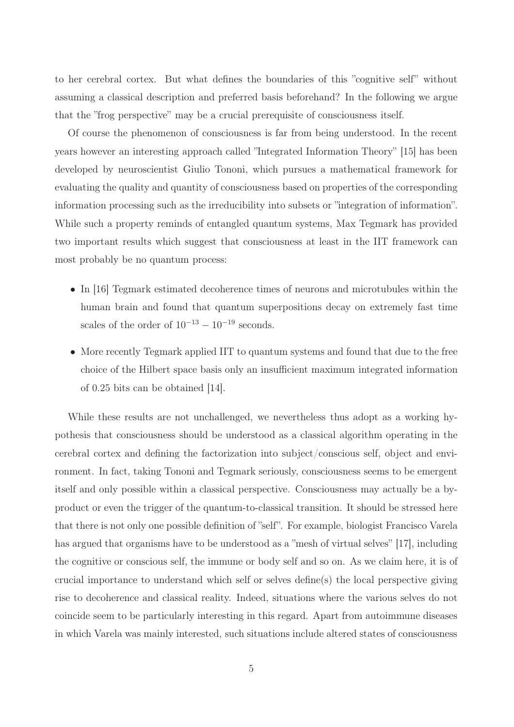to her cerebral cortex. But what defines the boundaries of this "cognitive self" without assuming a classical description and preferred basis beforehand? In the following we argue that the "frog perspective" may be a crucial prerequisite of consciousness itself.

Of course the phenomenon of consciousness is far from being understood. In the recent years however an interesting approach called "Integrated Information Theory" [15] has been developed by neuroscientist Giulio Tononi, which pursues a mathematical framework for evaluating the quality and quantity of consciousness based on properties of the corresponding information processing such as the irreducibility into subsets or "integration of information". While such a property reminds of entangled quantum systems, Max Tegmark has provided two important results which suggest that consciousness at least in the IIT framework can most probably be no quantum process:

- In [16] Tegmark estimated decoherence times of neurons and microtubules within the human brain and found that quantum superpositions decay on extremely fast time scales of the order of  $10^{-13} - 10^{-19}$  seconds.
- More recently Tegmark applied IIT to quantum systems and found that due to the free choice of the Hilbert space basis only an insufficient maximum integrated information of 0.25 bits can be obtained [14].

While these results are not unchallenged, we nevertheless thus adopt as a working hypothesis that consciousness should be understood as a classical algorithm operating in the cerebral cortex and defining the factorization into subject/conscious self, object and environment. In fact, taking Tononi and Tegmark seriously, consciousness seems to be emergent itself and only possible within a classical perspective. Consciousness may actually be a byproduct or even the trigger of the quantum-to-classical transition. It should be stressed here that there is not only one possible definition of "self". For example, biologist Francisco Varela has argued that organisms have to be understood as a "mesh of virtual selves" [17], including the cognitive or conscious self, the immune or body self and so on. As we claim here, it is of crucial importance to understand which self or selves define(s) the local perspective giving rise to decoherence and classical reality. Indeed, situations where the various selves do not coincide seem to be particularly interesting in this regard. Apart from autoimmune diseases in which Varela was mainly interested, such situations include altered states of consciousness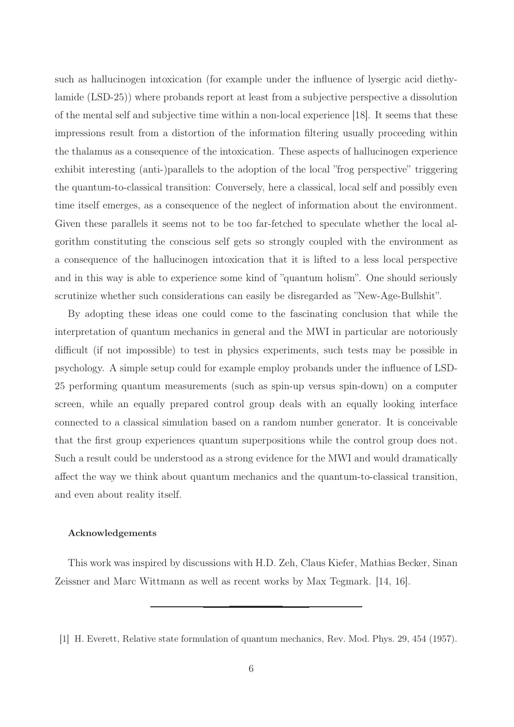such as hallucinogen intoxication (for example under the influence of lysergic acid diethylamide (LSD-25)) where probands report at least from a subjective perspective a dissolution of the mental self and subjective time within a non-local experience [18]. It seems that these impressions result from a distortion of the information filtering usually proceeding within the thalamus as a consequence of the intoxication. These aspects of hallucinogen experience exhibit interesting (anti-)parallels to the adoption of the local "frog perspective" triggering the quantum-to-classical transition: Conversely, here a classical, local self and possibly even time itself emerges, as a consequence of the neglect of information about the environment. Given these parallels it seems not to be too far-fetched to speculate whether the local algorithm constituting the conscious self gets so strongly coupled with the environment as a consequence of the hallucinogen intoxication that it is lifted to a less local perspective and in this way is able to experience some kind of "quantum holism". One should seriously scrutinize whether such considerations can easily be disregarded as "New-Age-Bullshit".

By adopting these ideas one could come to the fascinating conclusion that while the interpretation of quantum mechanics in general and the MWI in particular are notoriously difficult (if not impossible) to test in physics experiments, such tests may be possible in psychology. A simple setup could for example employ probands under the influence of LSD-25 performing quantum measurements (such as spin-up versus spin-down) on a computer screen, while an equally prepared control group deals with an equally looking interface connected to a classical simulation based on a random number generator. It is conceivable that the first group experiences quantum superpositions while the control group does not. Such a result could be understood as a strong evidence for the MWI and would dramatically affect the way we think about quantum mechanics and the quantum-to-classical transition, and even about reality itself.

## Acknowledgements

This work was inspired by discussions with H.D. Zeh, Claus Kiefer, Mathias Becker, Sinan Zeissner and Marc Wittmann as well as recent works by Max Tegmark. [14, 16].

<sup>[1]</sup> H. Everett, Relative state formulation of quantum mechanics, Rev. Mod. Phys. 29, 454 (1957).